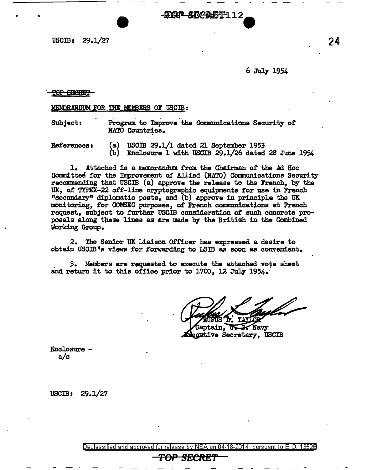|  | -REIP SOCAGT 112 |  |
|--|------------------|--|
|--|------------------|--|

 $\text{USCB}: 29.1/27$ 

6 July 1954

<del>POP SENGRET</del>

MEMORANDUM FOR THE MEMBERS OF USCIB:

Program to Improve the Communications Security of Subject: NATO Countries.

(a) USCIB 29.1/1 dated 21 September 1953 References: Enclosure 1 with USCIB 29.1/26 dated 28 June 1954 (Ъ)

1. Attached is a memorandum from the Chairman of the Ad Hoc Committee for the Improvement of Allied (NATO) Communications Security recommending that USCIB (a) approve the release to the French, by the UK, of TYPEX-22 off-line cryptographic equipments for use in French "secondary" diplomatic posts, and (b) approve in principle the UK monitoring, for COMSEC purposes, of French communications at French request, subject to further USCIB consideration of such concrete proposals along these lines as are made by the British in the Combined Working Group.

The Senior UK Liaison Officer has expressed a desire to  $\mathbf{2}_{\bullet}$ obtain USCIB's views for forwarding to LSIB as soon as convenient.

3. Members are requested to execute the attached vote sheet and return it to this office prior to 1700, 12 July 1954.

ant<u>ain,</u>  $\sim$ Navy egxtive Secretary, USCIB

Enclosure  $a/s$ 

USCIB: 29.1/27

Declassified and approved for release by NSA on 04-18-2014 pursuant to E.O. 13528

<del>TOP</del> *SECRET*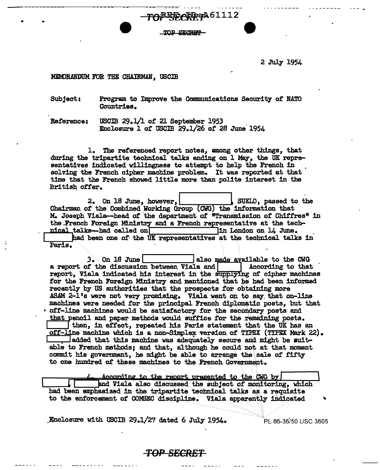2 July 1954

MEMORANDUM FOR THE CHAIRMAN, USCIB

. . TOPSECREP .

Subject: Program to Improve the Communications Security of NATO Countries.

Reference: USCIB 29.1/l of 21 September 1953 Enclosure 1 of USCIB  $29.1/26$  of 28 June 1954

1. The referenced report notes, among other things, that during the tripartite technical talks ending on 1 May, the UK representatives indicated willingness to attempt to help the French in solving the French cipher machine problem. It was reported at that time that the French showed little more than polite interest in the British offer.

 $2.$  On 18 June, however,  $\boxed{\phantom{134451}}$  SUKLO, passed to the Chairman of the Combined Working Group (CWG) the\in.f'ormation that M. Joseph Viala--head of the department of "Transmission of Chiffres" in the.French Foreign Ministry and a French representative at the tech- ~talks-had. called on .in London on 14 June. had been one of the UK representatives at the technical talks in Paris.

*<sup>3</sup>*~ On 18 June I I al.so r•e l a~le to the CilG a report of the. discussion between Vial.a and \ According to that · report. Viala indicated his interest in the supplying of cipher machines for the French Foreign Ministry and mentioned that he had been informed recently by US authorities that the prospects for obtaining more  $A<sub>S</sub>A<sub>M</sub>$  2-1's were not very promising. Viala went on to say that on-line machines were needed for the principal French diplomatic posts, but that • off-line machines would be satisfactory for the secmidary posts and that pencil and paper methods would suffice for the remaining posts.<br>I then, in effect, repeated his Paris statement that the UK has an off-line machine which is a non-Simplex version of TYPEX (TYPEX Mark 22). I . added that this machine was adequately secure and might be suitable to French methods; and that, although he could not at that moment commit his government, he might be able to arrange the sale of fifty to one hundred of these machines to the French Government.

Lecording to the report presented to the CWG by<br>|-<br>| knd Viala also discussed the subject of monitoring, which had been emphasized in the tripartite technical talks as a requisite to the enforcement of COMSEC discipline. Viala apparently indicated

Enclosure with USCIB 29.1/27 dated 6 July 1954.  $PL 86-36/50 \text{ USC } 3605$ 

## **TOP SECRET**